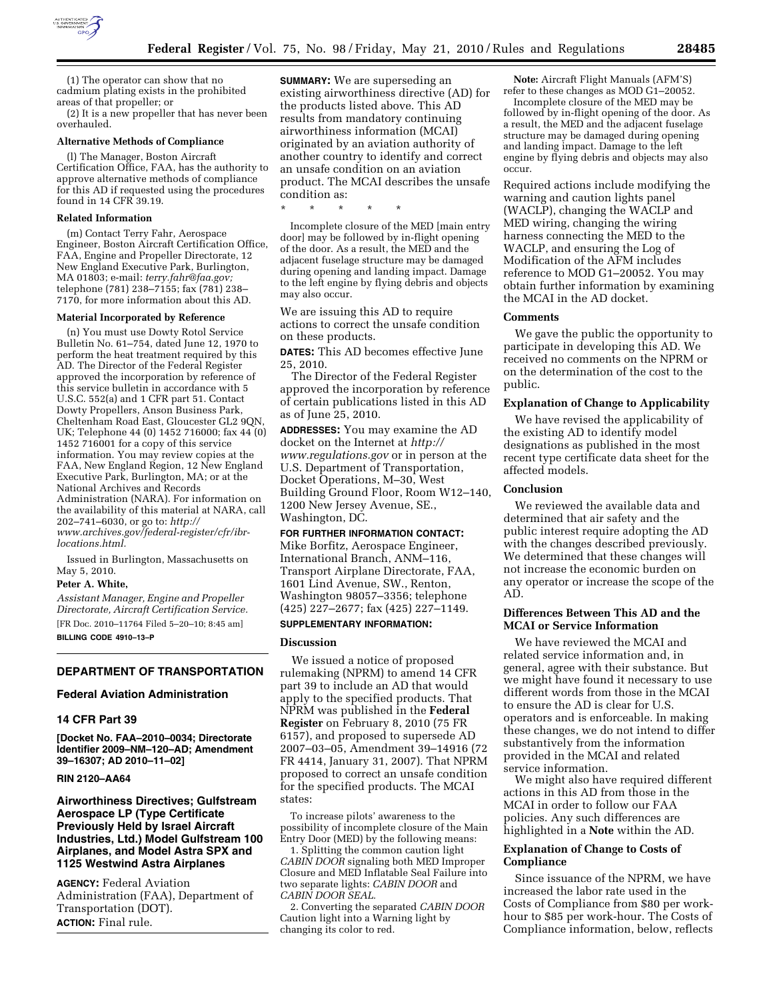

(1) The operator can show that no cadmium plating exists in the prohibited areas of that propeller; or

(2) It is a new propeller that has never been overhauled.

# **Alternative Methods of Compliance**

(l) The Manager, Boston Aircraft Certification Office, FAA, has the authority to approve alternative methods of compliance for this AD if requested using the procedures found in 14 CFR 39.19.

# **Related Information**

(m) Contact Terry Fahr, Aerospace Engineer, Boston Aircraft Certification Office, FAA, Engine and Propeller Directorate, 12 New England Executive Park, Burlington, MA 01803; e-mail: *terry.fahr@faa.gov;*  telephone (781) 238–7155; fax (781) 238– 7170, for more information about this AD.

# **Material Incorporated by Reference**

(n) You must use Dowty Rotol Service Bulletin No. 61–754, dated June 12, 1970 to perform the heat treatment required by this AD. The Director of the Federal Register approved the incorporation by reference of this service bulletin in accordance with 5 U.S.C. 552(a) and 1 CFR part 51. Contact Dowty Propellers, Anson Business Park, Cheltenham Road East, Gloucester GL2 9QN, UK; Telephone 44 (0) 1452 716000; fax 44 (0) 1452 716001 for a copy of this service information. You may review copies at the FAA, New England Region, 12 New England Executive Park, Burlington, MA; or at the National Archives and Records Administration (NARA). For information on the availability of this material at NARA, call 202–741–6030, or go to: *http:// www.archives.gov/federal-register/cfr/ibr-*

*locations.html.* 

Issued in Burlington, Massachusetts on May 5, 2010.

#### **Peter A. White,**

*Assistant Manager, Engine and Propeller Directorate, Aircraft Certification Service.*  [FR Doc. 2010–11764 Filed 5–20–10; 8:45 am] **BILLING CODE 4910–13–P** 

# **DEPARTMENT OF TRANSPORTATION**

# **Federal Aviation Administration**

#### **14 CFR Part 39**

**[Docket No. FAA–2010–0034; Directorate Identifier 2009–NM–120–AD; Amendment 39–16307; AD 2010–11–02]** 

#### **RIN 2120–AA64**

# **Airworthiness Directives; Gulfstream Aerospace LP (Type Certificate Previously Held by Israel Aircraft Industries, Ltd.) Model Gulfstream 100 Airplanes, and Model Astra SPX and 1125 Westwind Astra Airplanes**

**AGENCY:** Federal Aviation Administration (FAA), Department of Transportation (DOT). **ACTION:** Final rule.

**SUMMARY:** We are superseding an existing airworthiness directive (AD) for the products listed above. This AD results from mandatory continuing airworthiness information (MCAI) originated by an aviation authority of another country to identify and correct an unsafe condition on an aviation product. The MCAI describes the unsafe condition as:

\* \* \* \* \*

Incomplete closure of the MED [main entry door] may be followed by in-flight opening of the door. As a result, the MED and the adjacent fuselage structure may be damaged during opening and landing impact. Damage to the left engine by flying debris and objects may also occur.

We are issuing this AD to require actions to correct the unsafe condition on these products.

**DATES:** This AD becomes effective June 25, 2010.

The Director of the Federal Register approved the incorporation by reference of certain publications listed in this AD as of June 25, 2010.

**ADDRESSES:** You may examine the AD docket on the Internet at *http:// www.regulations.gov* or in person at the U.S. Department of Transportation, Docket Operations, M–30, West Building Ground Floor, Room W12–140, 1200 New Jersey Avenue, SE., Washington, DC.

### **FOR FURTHER INFORMATION CONTACT:**

Mike Borfitz, Aerospace Engineer, International Branch, ANM–116, Transport Airplane Directorate, FAA, 1601 Lind Avenue, SW., Renton, Washington 98057–3356; telephone (425) 227–2677; fax (425) 227–1149.

# **SUPPLEMENTARY INFORMATION:**

### **Discussion**

We issued a notice of proposed rulemaking (NPRM) to amend 14 CFR part 39 to include an AD that would apply to the specified products. That NPRM was published in the **Federal Register** on February 8, 2010 (75 FR 6157), and proposed to supersede AD 2007–03–05, Amendment 39–14916 (72 FR 4414, January 31, 2007). That NPRM proposed to correct an unsafe condition for the specified products. The MCAI states:

To increase pilots' awareness to the possibility of incomplete closure of the Main Entry Door (MED) by the following means:

1. Splitting the common caution light *CABIN DOOR* signaling both MED Improper Closure and MED Inflatable Seal Failure into two separate lights: *CABIN DOOR* and *CABIN DOOR SEAL.* 

2. Converting the separated *CABIN DOOR*  Caution light into a Warning light by changing its color to red.

**Note:** Aircraft Flight Manuals (AFM'S) refer to these changes as MOD G1–20052.

Incomplete closure of the MED may be followed by in-flight opening of the door. As a result, the MED and the adjacent fuselage structure may be damaged during opening and landing impact. Damage to the left engine by flying debris and objects may also occur.

Required actions include modifying the warning and caution lights panel (WACLP), changing the WACLP and MED wiring, changing the wiring harness connecting the MED to the WACLP, and ensuring the Log of Modification of the AFM includes reference to MOD G1–20052. You may obtain further information by examining the MCAI in the AD docket.

### **Comments**

We gave the public the opportunity to participate in developing this AD. We received no comments on the NPRM or on the determination of the cost to the public.

### **Explanation of Change to Applicability**

We have revised the applicability of the existing AD to identify model designations as published in the most recent type certificate data sheet for the affected models.

### **Conclusion**

We reviewed the available data and determined that air safety and the public interest require adopting the AD with the changes described previously. We determined that these changes will not increase the economic burden on any operator or increase the scope of the AD.

# **Differences Between This AD and the MCAI or Service Information**

We have reviewed the MCAI and related service information and, in general, agree with their substance. But we might have found it necessary to use different words from those in the MCAI to ensure the AD is clear for U.S. operators and is enforceable. In making these changes, we do not intend to differ substantively from the information provided in the MCAI and related service information.

We might also have required different actions in this AD from those in the MCAI in order to follow our FAA policies. Any such differences are highlighted in a **Note** within the AD.

### **Explanation of Change to Costs of Compliance**

Since issuance of the NPRM, we have increased the labor rate used in the Costs of Compliance from \$80 per workhour to \$85 per work-hour. The Costs of Compliance information, below, reflects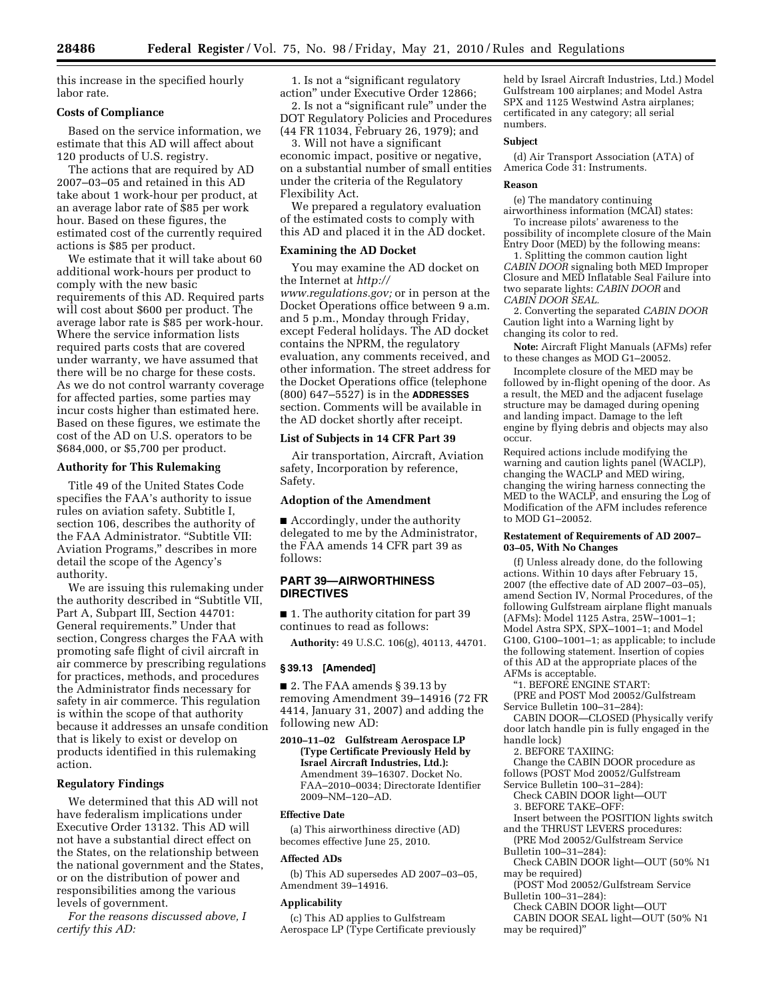this increase in the specified hourly labor rate.

## **Costs of Compliance**

Based on the service information, we estimate that this AD will affect about 120 products of U.S. registry.

The actions that are required by AD 2007–03–05 and retained in this AD take about 1 work-hour per product, at an average labor rate of \$85 per work hour. Based on these figures, the estimated cost of the currently required actions is \$85 per product.

We estimate that it will take about 60 additional work-hours per product to comply with the new basic requirements of this AD. Required parts will cost about \$600 per product. The average labor rate is \$85 per work-hour. Where the service information lists required parts costs that are covered under warranty, we have assumed that there will be no charge for these costs. As we do not control warranty coverage for affected parties, some parties may incur costs higher than estimated here. Based on these figures, we estimate the cost of the AD on U.S. operators to be \$684,000, or \$5,700 per product.

### **Authority for This Rulemaking**

Title 49 of the United States Code specifies the FAA's authority to issue rules on aviation safety. Subtitle I, section 106, describes the authority of the FAA Administrator. ''Subtitle VII: Aviation Programs,'' describes in more detail the scope of the Agency's authority.

We are issuing this rulemaking under the authority described in ''Subtitle VII, Part A, Subpart III, Section 44701: General requirements.'' Under that section, Congress charges the FAA with promoting safe flight of civil aircraft in air commerce by prescribing regulations for practices, methods, and procedures the Administrator finds necessary for safety in air commerce. This regulation is within the scope of that authority because it addresses an unsafe condition that is likely to exist or develop on products identified in this rulemaking action.

# **Regulatory Findings**

We determined that this AD will not have federalism implications under Executive Order 13132. This AD will not have a substantial direct effect on the States, on the relationship between the national government and the States, or on the distribution of power and responsibilities among the various levels of government.

*For the reasons discussed above, I certify this AD:* 

1. Is not a ''significant regulatory action'' under Executive Order 12866;

2. Is not a "significant rule" under the DOT Regulatory Policies and Procedures (44 FR 11034, February 26, 1979); and

3. Will not have a significant economic impact, positive or negative, on a substantial number of small entities under the criteria of the Regulatory Flexibility Act.

We prepared a regulatory evaluation of the estimated costs to comply with this AD and placed it in the AD docket.

### **Examining the AD Docket**

You may examine the AD docket on the Internet at *http:// www.regulations.gov;* or in person at the Docket Operations office between 9 a.m. and 5 p.m., Monday through Friday, except Federal holidays. The AD docket contains the NPRM, the regulatory evaluation, any comments received, and other information. The street address for the Docket Operations office (telephone (800) 647–5527) is in the **ADDRESSES** section. Comments will be available in the AD docket shortly after receipt.

#### **List of Subjects in 14 CFR Part 39**

Air transportation, Aircraft, Aviation safety, Incorporation by reference, Safety.

### **Adoption of the Amendment**

■ Accordingly, under the authority delegated to me by the Administrator, the FAA amends 14 CFR part 39 as follows:

### **PART 39—AIRWORTHINESS DIRECTIVES**

■ 1. The authority citation for part 39 continues to read as follows:

**Authority:** 49 U.S.C. 106(g), 40113, 44701.

#### **§ 39.13 [Amended]**

■ 2. The FAA amends § 39.13 by removing Amendment 39–14916 (72 FR 4414, January 31, 2007) and adding the following new AD:

**2010–11–02 Gulfstream Aerospace LP (Type Certificate Previously Held by Israel Aircraft Industries, Ltd.):**  Amendment 39–16307. Docket No. FAA–2010–0034; Directorate Identifier 2009–NM–120–AD.

#### **Effective Date**

(a) This airworthiness directive (AD) becomes effective June 25, 2010.

### **Affected ADs**

(b) This AD supersedes AD 2007–03–05, Amendment 39–14916.

#### **Applicability**

(c) This AD applies to Gulfstream Aerospace LP ( $\overline{T}$ ype Certificate previously

held by Israel Aircraft Industries, Ltd.) Model Gulfstream 100 airplanes; and Model Astra SPX and 1125 Westwind Astra airplanes; certificated in any category; all serial numbers.

#### **Subject**

(d) Air Transport Association (ATA) of America Code 31: Instruments.

#### **Reason**

(e) The mandatory continuing airworthiness information (MCAI) states:

To increase pilots' awareness to the possibility of incomplete closure of the Main Entry Door (MED) by the following means:

1. Splitting the common caution light *CABIN DOOR* signaling both MED Improper Closure and MED Inflatable Seal Failure into two separate lights: *CABIN DOOR* and *CABIN DOOR SEAL.* 

2. Converting the separated *CABIN DOOR*  Caution light into a Warning light by changing its color to red.

**Note:** Aircraft Flight Manuals (AFMs) refer to these changes as MOD G1–20052.

Incomplete closure of the MED may be followed by in-flight opening of the door. As a result, the MED and the adjacent fuselage structure may be damaged during opening and landing impact. Damage to the left engine by flying debris and objects may also occur.

Required actions include modifying the warning and caution lights panel (WACLP), changing the WACLP and MED wiring, changing the wiring harness connecting the MED to the WACLP, and ensuring the Log of Modification of the AFM includes reference to MOD G1–20052.

#### **Restatement of Requirements of AD 2007– 03–05, With No Changes**

(f) Unless already done, do the following actions. Within 10 days after February 15, 2007 (the effective date of AD 2007–03–05), amend Section IV, Normal Procedures, of the following Gulfstream airplane flight manuals (AFMs): Model 1125 Astra, 25W–1001–1; Model Astra SPX, SPX–1001–1; and Model G100, G100–1001–1; as applicable; to include the following statement. Insertion of copies of this AD at the appropriate places of the AFMs is acceptable.

''1. BEFORE ENGINE START:

(PRE and POST Mod 20052/Gulfstream Service Bulletin 100–31–284):

CABIN DOOR—CLOSED (Physically verify door latch handle pin is fully engaged in the handle lock)

- 2. BEFORE TAXIING:
- Change the CABIN DOOR procedure as follows (POST Mod 20052/Gulfstream
- Service Bulletin 100–31–284):
- Check CABIN DOOR light—OUT
- 3. BEFORE TAKE–OFF:
- Insert between the POSITION lights switch and the THRUST LEVERS procedures:
- (PRE Mod 20052/Gulfstream Service Bulletin 100–31–284):
- Check CABIN DOOR light—OUT (50% N1 may be required)
- (POST Mod 20052/Gulfstream Service Bulletin 100–31–284):
- Check CABIN DOOR light—OUT
- CABIN DOOR SEAL light—OUT (50% N1 may be required)''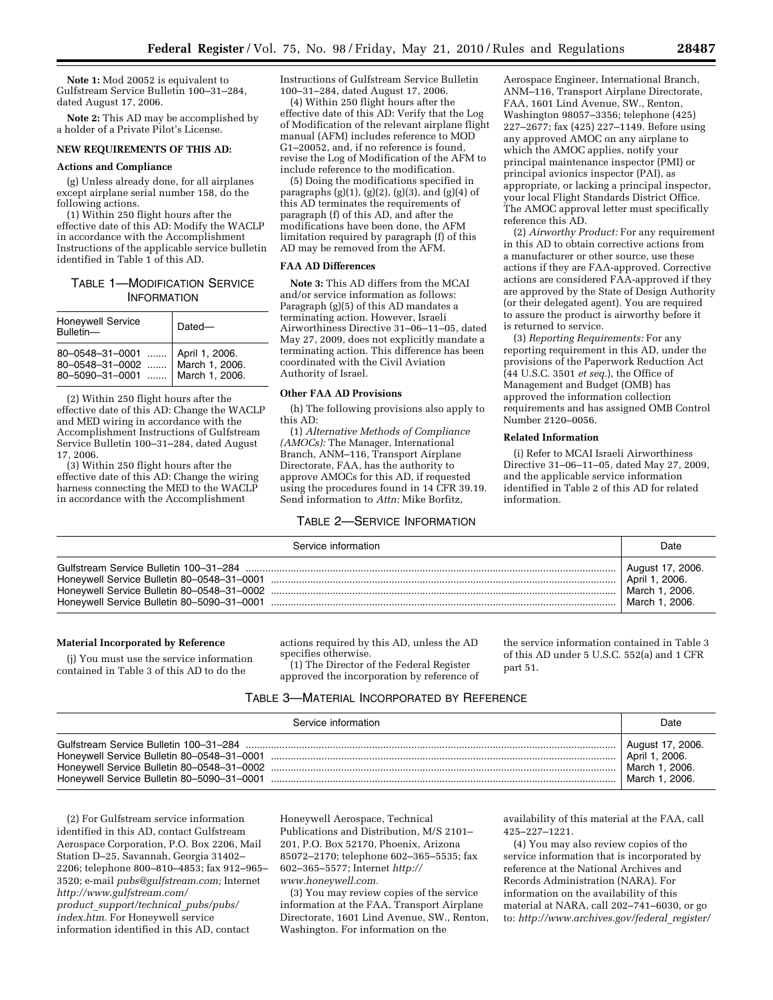**Note 1:** Mod 20052 is equivalent to Gulfstream Service Bulletin 100–31–284, dated August 17, 2006.

**Note 2:** This AD may be accomplished by a holder of a Private Pilot's License.

#### **NEW REQUIREMENTS OF THIS AD:**

### **Actions and Compliance**

(g) Unless already done, for all airplanes except airplane serial number 158, do the following actions.

(1) Within 250 flight hours after the effective date of this AD: Modify the WACLP in accordance with the Accomplishment Instructions of the applicable service bulletin identified in Table 1 of this AD.

# TABLE 1—MODIFICATION SERVICE INFORMATION

| Honeywell Service<br>Bulletin-                        | Dated-                                             |
|-------------------------------------------------------|----------------------------------------------------|
| 80-0548-31-0001<br>80-0548-31-0002<br>80-5090-31-0001 | April 1, 2006.<br>March 1, 2006.<br>March 1, 2006. |

(2) Within 250 flight hours after the effective date of this AD: Change the WACLP and MED wiring in accordance with the Accomplishment Instructions of Gulfstream Service Bulletin 100–31–284, dated August 17, 2006.

(3) Within 250 flight hours after the effective date of this AD: Change the wiring harness connecting the MED to the WACLP in accordance with the Accomplishment

Instructions of Gulfstream Service Bulletin 100–31–284, dated August 17, 2006.

(4) Within 250 flight hours after the effective date of this AD: Verify that the Log of Modification of the relevant airplane flight manual (AFM) includes reference to MOD G1–20052, and, if no reference is found, revise the Log of Modification of the AFM to include reference to the modification.

(5) Doing the modifications specified in paragraphs  $(g)(1)$ ,  $(g)(2)$ ,  $(g)(3)$ , and  $(g)(4)$  of this AD terminates the requirements of paragraph (f) of this AD, and after the modifications have been done, the AFM limitation required by paragraph (f) of this AD may be removed from the AFM.

#### **FAA AD Differences**

**Note 3:** This AD differs from the MCAI and/or service information as follows: Paragraph (g)(5) of this AD mandates a terminating action. However, Israeli Airworthiness Directive 31–06–11–05, dated May 27, 2009, does not explicitly mandate a terminating action. This difference has been coordinated with the Civil Aviation Authority of Israel.

### **Other FAA AD Provisions**

(h) The following provisions also apply to this AD:

(1) *Alternative Methods of Compliance (AMOCs):* The Manager, International Branch, ANM–116, Transport Airplane Directorate, FAA, has the authority to approve AMOCs for this AD, if requested using the procedures found in 14 CFR 39.19. Send information to *Attn:* Mike Borfitz,

# TABLE 2—SERVICE INFORMATION

Aerospace Engineer, International Branch, ANM–116, Transport Airplane Directorate, FAA, 1601 Lind Avenue, SW., Renton, Washington 98057–3356; telephone (425) 227–2677; fax (425) 227–1149. Before using any approved AMOC on any airplane to which the AMOC applies, notify your principal maintenance inspector (PMI) or principal avionics inspector (PAI), as appropriate, or lacking a principal inspector, your local Flight Standards District Office. The AMOC approval letter must specifically reference this AD.

(2) *Airworthy Product:* For any requirement in this AD to obtain corrective actions from a manufacturer or other source, use these actions if they are FAA-approved. Corrective actions are considered FAA-approved if they are approved by the State of Design Authority (or their delegated agent). You are required to assure the product is airworthy before it is returned to service.

(3) *Reporting Requirements:* For any reporting requirement in this AD, under the provisions of the Paperwork Reduction Act (44 U.S.C. 3501 *et seq.*), the Office of Management and Budget (OMB) has approved the information collection requirements and has assigned OMB Control Number 2120–0056.

### **Related Information**

(i) Refer to MCAI Israeli Airworthiness Directive 31–06–11–05, dated May 27, 2009, and the applicable service information identified in Table 2 of this AD for related information.

| Service information |                  |
|---------------------|------------------|
|                     | August 17, 2006. |
|                     | April 1, 2006.   |
|                     | March 1, 2006.   |
|                     | March 1, 2006.   |

#### **Material Incorporated by Reference**

(j) You must use the service information contained in Table 3 of this AD to do the

actions required by this AD, unless the AD specifies otherwise.

(1) The Director of the Federal Register approved the incorporation by reference of

the service information contained in Table 3 of this AD under 5 U.S.C. 552(a) and 1 CFR part 51.

#### TABLE 3—MATERIAL INCORPORATED BY REFERENCE

| Service information | Date                          |
|---------------------|-------------------------------|
|                     | <sup>1</sup> August 17, 2006. |
|                     | April 1, 2006.                |
|                     | March 1, 2006.                |
|                     | March 1, 2006.                |

(2) For Gulfstream service information identified in this AD, contact Gulfstream Aerospace Corporation, P.O. Box 2206, Mail Station D–25, Savannah, Georgia 31402– 2206; telephone 800–810–4853; fax 912–965– 3520; e-mail *pubs@gulfstream.com;* Internet *http://www.gulfstream.com/ product*\_*support/technical*\_*pubs/pubs/ index.htm.* For Honeywell service information identified in this AD, contact

Honeywell Aerospace, Technical Publications and Distribution, M/S 2101– 201, P.O. Box 52170, Phoenix, Arizona 85072–2170; telephone 602–365–5535; fax 602–365–5577; Internet *http:// www.honeywell.com.* 

(3) You may review copies of the service information at the FAA, Transport Airplane Directorate, 1601 Lind Avenue, SW., Renton, Washington. For information on the

availability of this material at the FAA, call 425–227–1221.

(4) You may also review copies of the service information that is incorporated by reference at the National Archives and Records Administration (NARA). For information on the availability of this material at NARA, call 202–741–6030, or go to: *http://www.archives.gov/federal*\_*register/*